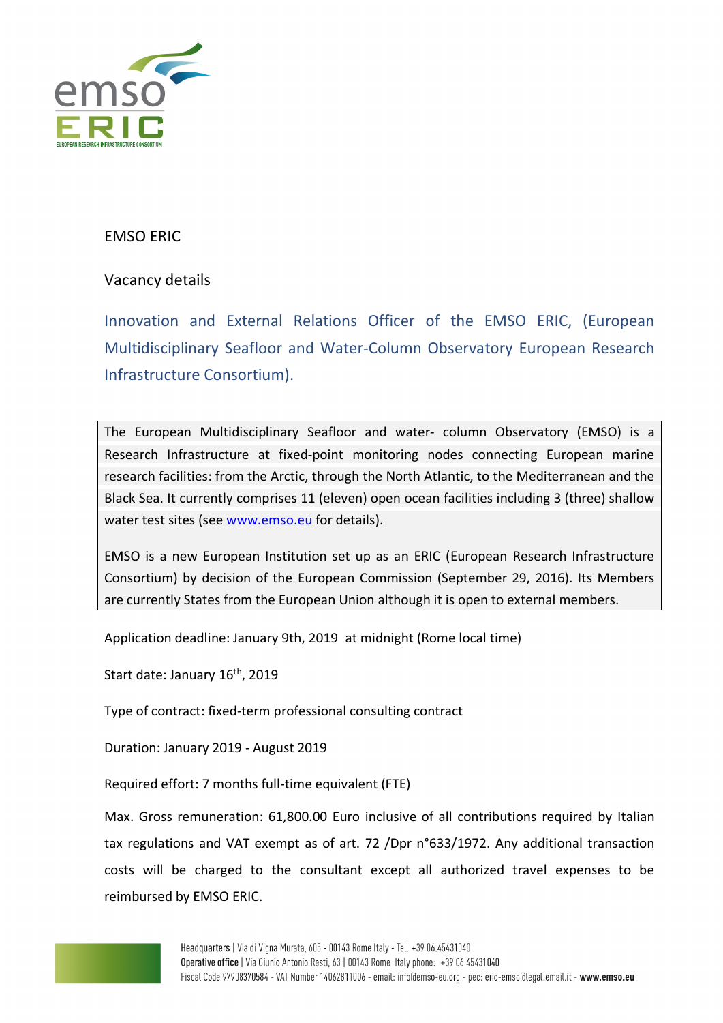

## EMSO ERIC

# Vacancy details

Innovation and External Relations Officer of the EMSO ERIC, (European Multidisciplinary Seafloor and Water-Column Observatory European Research Infrastructure Consortium).

The European Multidisciplinary Seafloor and water- column Observatory (EMSO) is a Research Infrastructure at fixed-point monitoring nodes connecting European marine research facilities: from the Arctic, through the North Atlantic, to the Mediterranean and the Black Sea. It currently comprises 11 (eleven) open ocean facilities including 3 (three) shallow water test sites (see www.emso.eu for details).

EMSO is a new European Institution set up as an ERIC (European Research Infrastructure Consortium) by decision of the European Commission (September 29, 2016). Its Members are currently States from the European Union although it is open to external members.

Application deadline: January 9th, 2019 at midnight (Rome local time)

Start date: January 16<sup>th</sup>, 2019

Type of contract: fixed-term professional consulting contract

Duration: January 2019 - August 2019

Required effort: 7 months full-time equivalent (FTE)

Max. Gross remuneration: 61,800.00 Euro inclusive of all contributions required by Italian tax regulations and VAT exempt as of art. 72 /Dpr n°633/1972. Any additional transaction costs will be charged to the consultant except all authorized travel expenses to be reimbursed by EMSO ERIC.

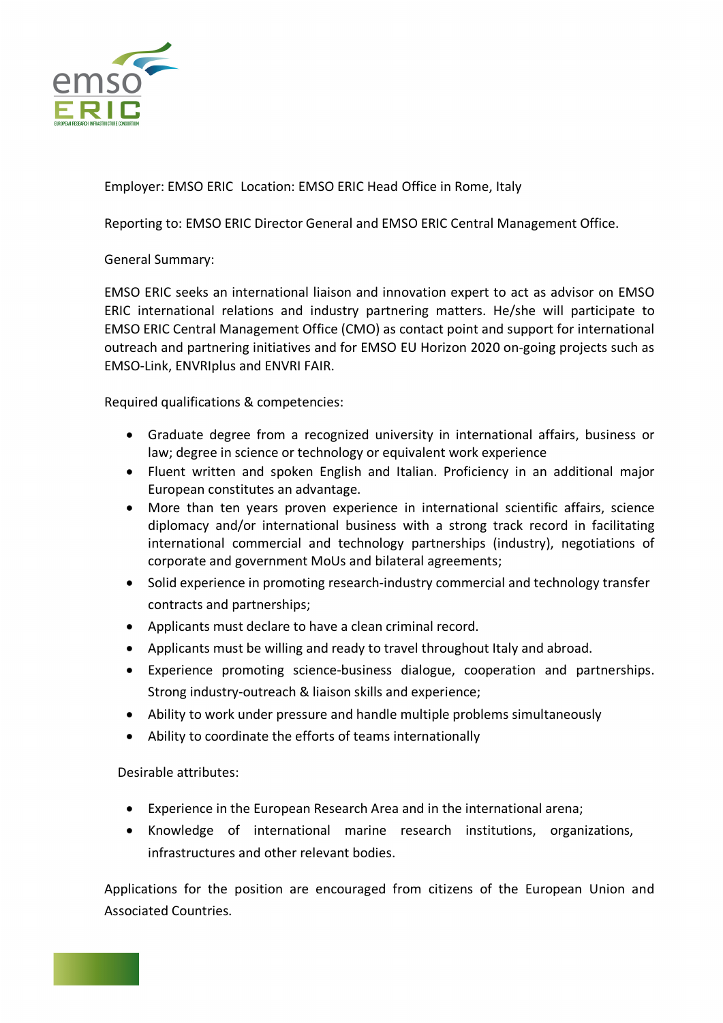

Employer: EMSO ERIC Location: EMSO ERIC Head Office in Rome, Italy

Reporting to: EMSO ERIC Director General and EMSO ERIC Central Management Office.

### General Summary:

EMSO ERIC seeks an international liaison and innovation expert to act as advisor on EMSO ERIC international relations and industry partnering matters. He/she will participate to EMSO ERIC Central Management Office (CMO) as contact point and support for international outreach and partnering initiatives and for EMSO EU Horizon 2020 on-going projects such as EMSO-Link, ENVRIplus and ENVRI FAIR.

Required qualifications & competencies:

- Graduate degree from a recognized university in international affairs, business or law; degree in science or technology or equivalent work experience
- Fluent written and spoken English and Italian. Proficiency in an additional major European constitutes an advantage.
- More than ten years proven experience in international scientific affairs, science diplomacy and/or international business with a strong track record in facilitating international commercial and technology partnerships (industry), negotiations of corporate and government MoUs and bilateral agreements;
- Solid experience in promoting research-industry commercial and technology transfer contracts and partnerships;
- Applicants must declare to have a clean criminal record.
- Applicants must be willing and ready to travel throughout Italy and abroad.
- Experience promoting science-business dialogue, cooperation and partnerships. Strong industry-outreach & liaison skills and experience;
- Ability to work under pressure and handle multiple problems simultaneously
- Ability to coordinate the efforts of teams internationally

#### Desirable attributes:

- Experience in the European Research Area and in the international arena;
- Knowledge of international marine research institutions, organizations, infrastructures and other relevant bodies.

Applications for the position are encouraged from citizens of the European Union and Associated Countries.